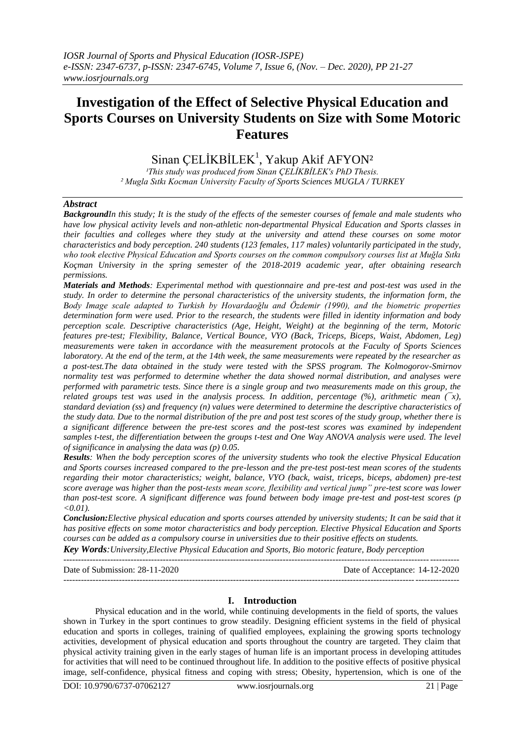# **Investigation of the Effect of Selective Physical Education and Sports Courses on University Students on Size with Some Motoric Features**

## Sinan ÇELİKBİLEK<sup>1</sup>, Yakup Akif AFYON<sup>2</sup>

<sup>1</sup>This study was produced from Sinan CELIKBILEK's PhD Thesis. *² Mugla Sıtkı Kocman University Faculty of Sports Sciences MUGLA / TURKEY*

### *Abstract*

*BackgroundIn this study; It is the study of the effects of the semester courses of female and male students who have low physical activity levels and non-athletic non-departmental Physical Education and Sports classes in their faculties and colleges where they study at the university and attend these courses on some motor characteristics and body perception. 240 students (123 females, 117 males) voluntarily participated in the study, who took elective Physical Education and Sports courses on the common compulsory courses list at Muğla Sıtkı Koçman University in the spring semester of the 2018-2019 academic year, after obtaining research permissions.*

*Materials and Methods: Experimental method with questionnaire and pre-test and post-test was used in the study. In order to determine the personal characteristics of the university students, the information form, the Body Image scale adapted to Turkish by Hovardaoğlu and Özdemir (1990), and the biometric properties determination form were used. Prior to the research, the students were filled in identity information and body perception scale. Descriptive characteristics (Age, Height, Weight) at the beginning of the term, Motoric features pre-test; Flexibility, Balance, Vertical Bounce, VYO (Back, Triceps, Biceps, Waist, Abdomen, Leg) measurements were taken in accordance with the measurement protocols at the Faculty of Sports Sciences laboratory. At the end of the term, at the 14th week, the same measurements were repeated by the researcher as a post-test.The data obtained in the study were tested with the SPSS program. The Kolmogorov-Smirnov normality test was performed to determine whether the data showed normal distribution, and analyses were performed with parametric tests. Since there is a single group and two measurements made on this group, the related groups test was used in the analysis process. In addition, percentage (%), arithmetic mean (¯x), standard deviation (ss) and frequency (n) values were determined to determine the descriptive characteristics of the study data. Due to the normal distribution of the pre and post test scores of the study group, whether there is a significant difference between the pre-test scores and the post-test scores was examined by independent*  samples t-test, the differentiation between the groups t-test and One Way ANOVA analysis were used. The level *of significance in analysing the data was (p) 0.05.*

*Results: When the body perception scores of the university students who took the elective Physical Education and Sports courses increased compared to the pre-lesson and the pre-test post-test mean scores of the students regarding their motor characteristics; weight, balance, VYO (back, waist, triceps, biceps, abdomen) pre-test score average was higher than the post-tests mean score, flexibility and vertical jump" pre-test score was lower than post-test score. A significant difference was found between body image pre-test and post-test scores (p <0.01).*

*Conclusion:Elective physical education and sports courses attended by university students; It can be said that it has positive effects on some motor characteristics and body perception. Elective Physical Education and Sports courses can be added as a compulsory course in universities due to their positive effects on students. Key Words:University,Elective Physical Education and Sports, Bio motoric feature, Body perception*

---------------------------------------------------------------------------------------------------------------------------------------

Date of Submission: 28-11-2020 Date of Acceptance: 14-12-2020  $-1\leq i\leq n-1\leq n-1\leq n-1\leq n-1\leq n-1\leq n-1\leq n-1\leq n-1\leq n-1\leq n-1\leq n-1\leq n-1\leq n-1\leq n-1\leq n-1\leq n-1\leq n-1\leq n-1\leq n-1\leq n-1\leq n-1\leq n-1\leq n-1\leq n-1\leq n-1\leq n-1\leq n-1\leq n-1\leq n-1\leq n-1\leq n-1\leq n-1\leq n-1\leq n-1\leq n-1\leq n$ 

### **I. Introduction**

Physical education and in the world, while continuing developments in the field of sports, the values shown in Turkey in the sport continues to grow steadily. Designing efficient systems in the field of physical education and sports in colleges, training of qualified employees, explaining the growing sports technology activities, development of physical education and sports throughout the country are targeted. They claim that physical activity training given in the early stages of human life is an important process in developing attitudes for activities that will need to be continued throughout life. In addition to the positive effects of positive physical image, self-confidence, physical fitness and coping with stress; Obesity, hypertension, which is one of the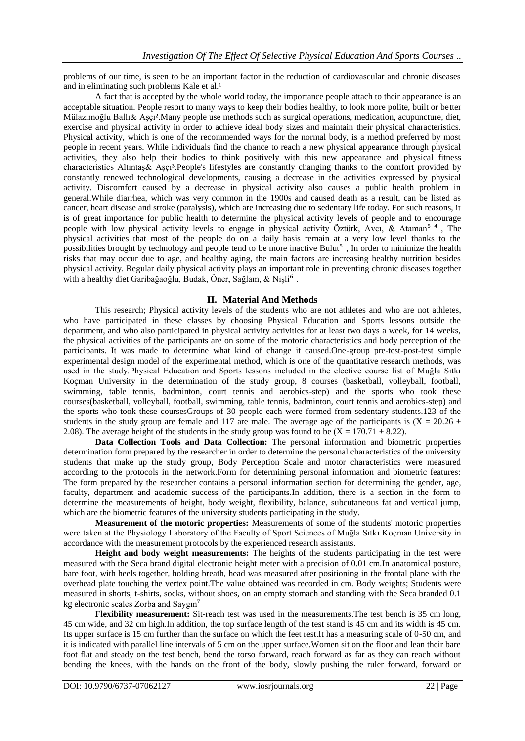problems of our time, is seen to be an important factor in the reduction of cardiovascular and chronic diseases and in eliminating such problems Kale et al. $<sup>1</sup>$ </sup>

A fact that is accepted by the whole world today, the importance people attach to their appearance is an acceptable situation. People resort to many ways to keep their bodies healthy, to look more polite, built or better Mülazımoğlu Ballı& Aşçı².Many people use methods such as surgical operations, medication, acupuncture, diet, exercise and physical activity in order to achieve ideal body sizes and maintain their physical characteristics. Physical activity, which is one of the recommended ways for the normal body, is a method preferred by most people in recent years. While individuals find the chance to reach a new physical appearance through physical activities, they also help their bodies to think positively with this new appearance and physical fitness characteristics Altıntaş& Aşçı<sup>3</sup>.People's lifestyles are constantly changing thanks to the comfort provided by constantly renewed technological developments, causing a decrease in the activities expressed by physical activity. Discomfort caused by a decrease in physical activity also causes a public health problem in general.While diarrhea, which was very common in the 1900s and caused death as a result, can be listed as cancer, heart disease and stroke (paralysis), which are increasing due to sedentary life today. For such reasons, it is of great importance for public health to determine the physical activity levels of people and to encourage people with low physical activity levels to engage in physical activity Öztürk, Avcı,  $\&$  Ataman<sup>54</sup>, The physical activities that most of the people do on a daily basis remain at a very low level thanks to the possibilities brought by technology and people tend to be more inactive Bulut<sup>5</sup>, In order to minimize the health risks that may occur due to age, and healthy aging, the main factors are increasing healthy nutrition besides physical activity. Regular daily physical activity plays an important role in preventing chronic diseases together with a healthy diet Garibağaoğlu, Budak, Öner, Sağlam, & Nişli<sup>6</sup>.

#### **II. Material And Methods**

This research; Physical activity levels of the students who are not athletes and who are not athletes, who have participated in these classes by choosing Physical Education and Sports lessons outside the department, and who also participated in physical activity activities for at least two days a week, for 14 weeks, the physical activities of the participants are on some of the motoric characteristics and body perception of the participants. It was made to determine what kind of change it caused.One-group pre-test-post-test simple experimental design model of the experimental method, which is one of the quantitative research methods, was used in the study.Physical Education and Sports lessons included in the elective course list of Muğla Sıtkı Koçman University in the determination of the study group, 8 courses (basketball, volleyball, football, swimming, table tennis, badminton, court tennis and aerobics-step) and the sports who took these courses(basketball, volleyball, football, swimming, table tennis, badminton, court tennis and aerobics-step) and the sports who took these coursesGroups of 30 people each were formed from sedentary students.123 of the students in the study group are female and 117 are male. The average age of the participants is  $(X = 20.26 \pm$ 2.08). The average height of the students in the study group was found to be  $(X = 170.71 \pm 8.22)$ .

**Data Collection Tools and Data Collection:** The personal information and biometric properties determination form prepared by the researcher in order to determine the personal characteristics of the university students that make up the study group, Body Perception Scale and motor characteristics were measured according to the protocols in the network.Form for determining personal information and biometric features: The form prepared by the researcher contains a personal information section for determining the gender, age, faculty, department and academic success of the participants.In addition, there is a section in the form to determine the measurements of height, body weight, flexibility, balance, subcutaneous fat and vertical jump, which are the biometric features of the university students participating in the study.

**Measurement of the motoric properties:** Measurements of some of the students' motoric properties were taken at the Physiology Laboratory of the Faculty of Sport Sciences of Muğla Sıtkı Koçman University in accordance with the measurement protocols by the experienced research assistants.

**Height and body weight measurements:** The heights of the students participating in the test were measured with the Seca brand digital electronic height meter with a precision of 0.01 cm.In anatomical posture, bare foot, with heels together, holding breath, head was measured after positioning in the frontal plane with the overhead plate touching the vertex point.The value obtained was recorded in cm. Body weights; Students were measured in shorts, t-shirts, socks, without shoes, on an empty stomach and standing with the Seca branded 0.1 kg electronic scales Zorba and Saygın<sup>7</sup>

**Flexibility measurement:** Sit-reach test was used in the measurements.The test bench is 35 cm long, 45 cm wide, and 32 cm high.In addition, the top surface length of the test stand is 45 cm and its width is 45 cm. Its upper surface is 15 cm further than the surface on which the feet rest.It has a measuring scale of 0-50 cm, and it is indicated with parallel line intervals of 5 cm on the upper surface.Women sit on the floor and lean their bare foot flat and steady on the test bench, bend the torso forward, reach forward as far as they can reach without bending the knees, with the hands on the front of the body, slowly pushing the ruler forward, forward or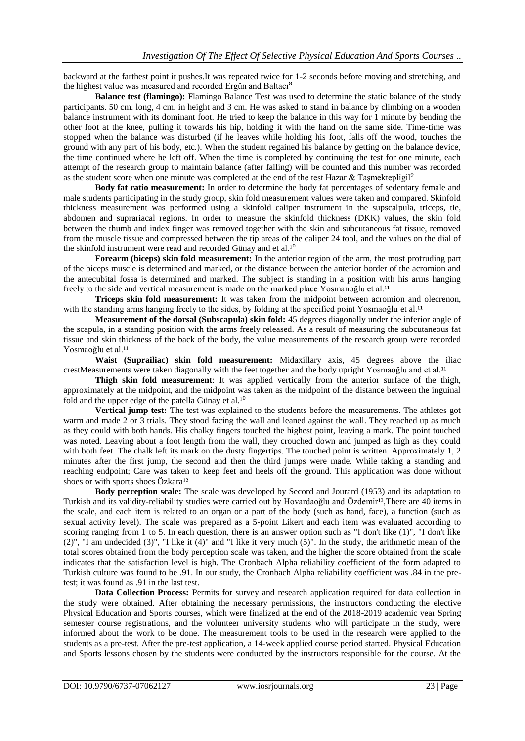backward at the farthest point it pushes.It was repeated twice for 1-2 seconds before moving and stretching, and the highest value was measured and recorded Ergün and Baltaci<sup>8</sup>

**Balance test (flamingo):** Flamingo Balance Test was used to determine the static balance of the study participants. 50 cm. long, 4 cm. in height and 3 cm. He was asked to stand in balance by climbing on a wooden balance instrument with its dominant foot. He tried to keep the balance in this way for 1 minute by bending the other foot at the knee, pulling it towards his hip, holding it with the hand on the same side. Time-time was stopped when the balance was disturbed (if he leaves while holding his foot, falls off the wood, touches the ground with any part of his body, etc.). When the student regained his balance by getting on the balance device, the time continued where he left off. When the time is completed by continuing the test for one minute, each attempt of the research group to maintain balance (after falling) will be counted and this number was recorded as the student score when one minute was completed at the end of the test Hazar  $\&$  Tasmektepligil<sup>9</sup>

**Body fat ratio measurement:** In order to determine the body fat percentages of sedentary female and male students participating in the study group, skin fold measurement values were taken and compared. Skinfold thickness measurement was performed using a skinfold caliper instrument in the supscalpula, triceps, tie, abdomen and suprariacal regions. In order to measure the skinfold thickness (DKK) values, the skin fold between the thumb and index finger was removed together with the skin and subcutaneous fat tissue, removed from the muscle tissue and compressed between the tip areas of the caliper 24 tool, and the values on the dial of the skinfold instrument were read and recorded Günay and et al. $1<sup>0</sup>$ 

**Forearm (biceps) skin fold measurement:** In the anterior region of the arm, the most protruding part of the biceps muscle is determined and marked, or the distance between the anterior border of the acromion and the antecubital fossa is determined and marked. The subject is standing in a position with his arms hanging freely to the side and vertical measurement is made on the marked place Yosmanoğlu et al.<sup>11</sup>

**Triceps skin fold measurement:** It was taken from the midpoint between acromion and olecrenon, with the standing arms hanging freely to the sides, by folding at the specified point Yosmaoğlu et al.<sup>11</sup>

**Measurement of the dorsal (Subscapula) skin fold:** 45 degrees diagonally under the inferior angle of the scapula, in a standing position with the arms freely released. As a result of measuring the subcutaneous fat tissue and skin thickness of the back of the body, the value measurements of the research group were recorded Yosmaoğlu et al.<sup>11</sup>

**Waist (Suprailiac) skin fold measurement:** Midaxillary axis, 45 degrees above the iliac crestMeasurements were taken diagonally with the feet together and the body upright Yosmaoğlu and et al.<sup>11</sup>

**Thigh skin fold measurement**: It was applied vertically from the anterior surface of the thigh, approximately at the midpoint, and the midpoint was taken as the midpoint of the distance between the inguinal fold and the upper edge of the patella Günay et al. $1<sup>0</sup>$ 

**Vertical jump test:** The test was explained to the students before the measurements. The athletes got warm and made 2 or 3 trials. They stood facing the wall and leaned against the wall. They reached up as much as they could with both hands. His chalky fingers touched the highest point, leaving a mark. The point touched was noted. Leaving about a foot length from the wall, they crouched down and jumped as high as they could with both feet. The chalk left its mark on the dusty fingertips. The touched point is written. Approximately 1, 2 minutes after the first jump, the second and then the third jumps were made. While taking a standing and reaching endpoint; Care was taken to keep feet and heels off the ground. This application was done without shoes or with sports shoes  $\ddot{O}$ zkara<sup>12</sup>

**Body perception scale:** The scale was developed by Secord and Jourard (1953) and its adaptation to Turkish and its validity-reliability studies were carried out by Hovardaoğlu and Özdemir<sup>13</sup>, There are 40 items in the scale, and each item is related to an organ or a part of the body (such as hand, face), a function (such as sexual activity level). The scale was prepared as a 5-point Likert and each item was evaluated according to scoring ranging from 1 to 5. In each question, there is an answer option such as "I don't like (1)", "I don't like (2)", "I am undecided (3)", "I like it (4)" and "I like it very much (5)". In the study, the arithmetic mean of the total scores obtained from the body perception scale was taken, and the higher the score obtained from the scale indicates that the satisfaction level is high. The Cronbach Alpha reliability coefficient of the form adapted to Turkish culture was found to be .91. In our study, the Cronbach Alpha reliability coefficient was .84 in the pretest; it was found as .91 in the last test.

**Data Collection Process:** Permits for survey and research application required for data collection in the study were obtained. After obtaining the necessary permissions, the instructors conducting the elective Physical Education and Sports courses, which were finalized at the end of the 2018-2019 academic year Spring semester course registrations, and the volunteer university students who will participate in the study, were informed about the work to be done. The measurement tools to be used in the research were applied to the students as a pre-test. After the pre-test application, a 14-week applied course period started. Physical Education and Sports lessons chosen by the students were conducted by the instructors responsible for the course. At the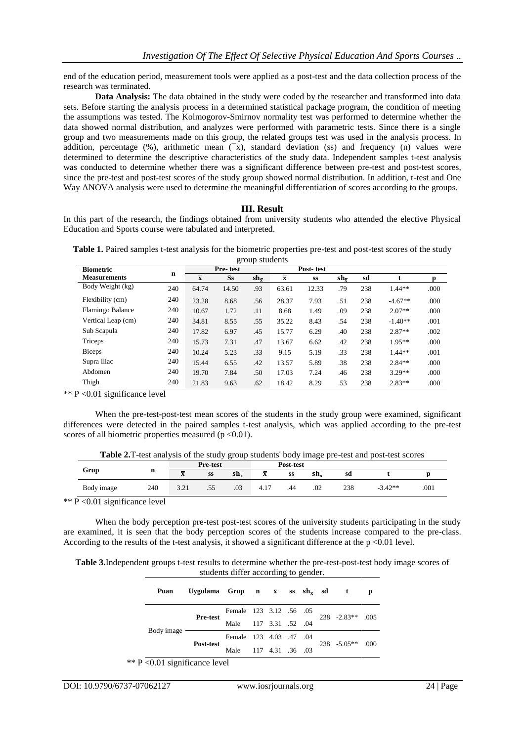end of the education period, measurement tools were applied as a post-test and the data collection process of the research was terminated.

**Data Analysis:** The data obtained in the study were coded by the researcher and transformed into data sets. Before starting the analysis process in a determined statistical package program, the condition of meeting the assumptions was tested. The Kolmogorov-Smirnov normality test was performed to determine whether the data showed normal distribution, and analyzes were performed with parametric tests. Since there is a single group and two measurements made on this group, the related groups test was used in the analysis process. In addition, percentage (%), arithmetic mean (¯x), standard deviation (ss) and frequency (n) values were determined to determine the descriptive characteristics of the study data. Independent samples t-test analysis was conducted to determine whether there was a significant difference between pre-test and post-test scores, since the pre-test and post-test scores of the study group showed normal distribution. In addition, t-test and One Way ANOVA analysis were used to determine the meaningful differentiation of scores according to the groups.

### **III. Result**

In this part of the research, the findings obtained from university students who attended the elective Physical Education and Sports course were tabulated and interpreted.

**Table 1.** Paired samples t-test analysis for the biometric properties pre-test and post-test scores of the study group students

| <b>Biometric</b>    |             | $B$ - $\alpha$ p benuemo<br>Pre-test |           |                                       | Post-test               |       |                      |     |           |      |
|---------------------|-------------|--------------------------------------|-----------|---------------------------------------|-------------------------|-------|----------------------|-----|-----------|------|
| <b>Measurements</b> | $\mathbf n$ | $\overline{\mathbf{x}}$              | <b>Ss</b> | $\mathbf{sh}_{\overline{\mathbf{v}}}$ | $\overline{\mathbf{x}}$ | SS    | $\sh_{\overline{v}}$ | sd  | t         | p    |
| Body Weight (kg)    | 240         | 64.74                                | 14.50     | .93                                   | 63.61                   | 12.33 | .79                  | 238 | $1.44**$  | .000 |
| Flexibility (cm)    | 240         | 23.28                                | 8.68      | .56                                   | 28.37                   | 7.93  | .51                  | 238 | $-4.67**$ | .000 |
| Flamingo Balance    | 240         | 10.67                                | 1.72      | .11                                   | 8.68                    | 1.49  | .09                  | 238 | $2.07**$  | .000 |
| Vertical Leap (cm)  | 240         | 34.81                                | 8.55      | .55                                   | 35.22                   | 8.43  | .54                  | 238 | $-1.40**$ | .001 |
| Sub Scapula         | 240         | 17.82                                | 6.97      | .45                                   | 15.77                   | 6.29  | .40                  | 238 | $2.87**$  | .002 |
| Triceps             | 240         | 15.73                                | 7.31      | .47                                   | 13.67                   | 6.62  | .42                  | 238 | $1.95**$  | .000 |
| <b>Biceps</b>       | 240         | 10.24                                | 5.23      | .33                                   | 9.15                    | 5.19  | .33                  | 238 | $1.44**$  | .001 |
| Supra Iliac         | 240         | 15.44                                | 6.55      | .42                                   | 13.57                   | 5.89  | .38                  | 238 | $2.84**$  | .000 |
| Abdomen             | 240         | 19.70                                | 7.84      | .50                                   | 17.03                   | 7.24  | .46                  | 238 | $3.29**$  | .000 |
| Thigh               | 240         | 21.83                                | 9.63      | .62                                   | 18.42                   | 8.29  | .53                  | 238 | $2.83**$  | .000 |

\*\* P <0.01 significance level

When the pre-test-post-test mean scores of the students in the study group were examined, significant differences were detected in the paired samples t-test analysis, which was applied according to the pre-test scores of all biometric properties measured  $(p < 0.01)$ .

**Table 2.**T-test analysis of the study group students' body image pre-test and post-test scores

|                                                             | n   | - -<br><b>Pre-test</b>  |           |                      |                                         | Post-test |                              |     |           |      |
|-------------------------------------------------------------|-----|-------------------------|-----------|----------------------|-----------------------------------------|-----------|------------------------------|-----|-----------|------|
| Grup                                                        |     | $\overline{\mathbf{x}}$ | <b>SS</b> | $\sh_{\overline{v}}$ | $\overline{\mathbf{v}}$<br>$\mathbf{v}$ | SS        | $\mathbf{Sh}_{\overline{v}}$ | sd  |           |      |
| Body image                                                  | 240 | 3.21                    | .55       | .03                  | 4.17                                    | .44       | .02                          | 238 | $-3.42**$ | .001 |
| $\cdot$ $\sim$<br>$P^*$ $\wedge$ $\wedge$ $\wedge$ $\wedge$ |     |                         |           |                      |                                         |           |                              |     |           |      |

\*\* P <0.01 significance level

When the body perception pre-test post-test scores of the university students participating in the study are examined, it is seen that the body perception scores of the students increase compared to the pre-class. According to the results of the t-test analysis, it showed a significant difference at the  $p \le 0.01$  level.

**Table 3.**Independent groups t-test results to determine whether the pre-test-post-test body image scores of students differ according to gender.

| Puan       | Uygulama Grup n $\overline{x}$ ss $sh_{\overline{y}}$ sd |                         |                  |  |  | t              | p    |
|------------|----------------------------------------------------------|-------------------------|------------------|--|--|----------------|------|
|            | <b>Pre-test</b>                                          | Female 123 3.12 .56 .05 |                  |  |  | $238 - 2.83**$ | .005 |
|            |                                                          | Male                    | 117 3.31 .52 .04 |  |  |                |      |
| Body image | Post-test                                                | Female 123 4.03 .47 .04 |                  |  |  | $238 - 5.05**$ | .000 |
|            |                                                          | Male                    | 117 4.31 .36 .03 |  |  |                |      |

\*\* P <0.01 significance level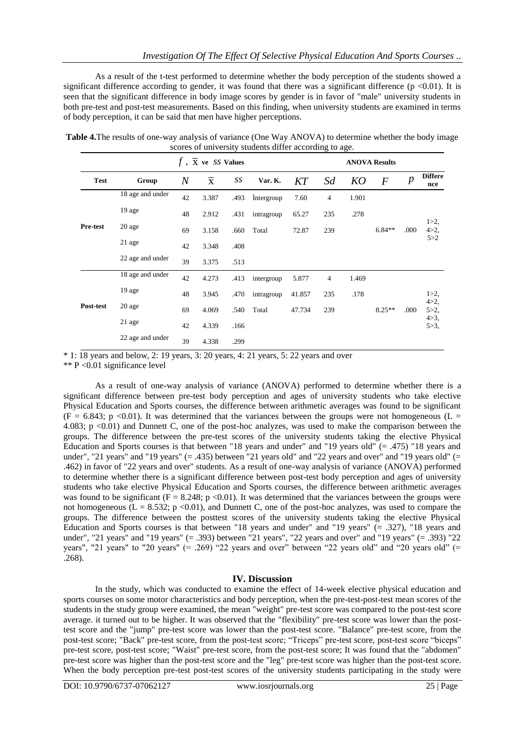As a result of the t-test performed to determine whether the body perception of the students showed a significant difference according to gender, it was found that there was a significant difference ( $p \le 0.01$ ). It is seen that the significant difference in body image scores by gender is in favor of "male" university students in both pre-test and post-test measurements. Based on this finding, when university students are examined in terms of body perception, it can be said that men have higher perceptions.

| <b>Test</b>     | Group            | $\boldsymbol{N}$ | $\overline{x}$ | SS   | Var. K.    | KT     | Sd             | KO    | $\boldsymbol{F}$ | $\boldsymbol{p}$ | <b>Differe</b><br>nce  |
|-----------------|------------------|------------------|----------------|------|------------|--------|----------------|-------|------------------|------------------|------------------------|
|                 | 18 age and under | 42               | 3.387          | .493 | Intergroup | 7.60   | 4              | 1.901 |                  |                  |                        |
|                 | 19 age           | 48               | 2.912          | .431 | intragroup | 65.27  | 235            | .278  |                  |                  |                        |
| <b>Pre-test</b> | 20 age           | 69               | 3.158          | .660 | Total      | 72.87  | 239            |       | $6.84**$         | .000             | $1 > 2$ ,<br>$4 > 2$ , |
|                 | 21 age           | 42               | 3.348          | .408 |            |        |                |       |                  |                  | 5 > 2                  |
|                 | 22 age and under | 39               | 3.375          | .513 |            |        |                |       |                  |                  |                        |
|                 | 18 age and under | 42               | 4.273          | .413 | intergroup | 5.877  | $\overline{4}$ | 1.469 |                  |                  |                        |
| Post-test       | 19 age           | 48               | 3.945          | .470 | intragroup | 41.857 | 235            | .178  |                  |                  | $1 > 2$ ,              |
|                 | 20 age           | 69               | 4.069          | .540 | Total      | 47.734 | 239            |       | $8.25**$         | .000             | $4 > 2$ ,<br>$5 > 2$ , |
|                 | 21 age           | 42               | 4.339          | .166 |            |        |                |       |                  |                  | $4 > 3$ ,<br>$5 > 3$ , |
|                 | 22 age and under | 39               | 4.338          | .299 |            |        |                |       |                  |                  |                        |

**Table 4.**The results of one-way analysis of variance (One Way ANOVA) to determine whether the body image scores of university students differ according to age.

 $*$  1: 18 years and below, 2: 19 years, 3: 20 years, 4: 21 years, 5: 22 years and over

\*\* P <0.01 significance level

As a result of one-way analysis of variance (ANOVA) performed to determine whether there is a significant difference between pre-test body perception and ages of university students who take elective Physical Education and Sports courses, the difference between arithmetic averages was found to be significant  $(F = 6.843; p < 0.01)$ . It was determined that the variances between the groups were not homogeneous (L = 4.083; p <0.01) and Dunnett C, one of the post-hoc analyzes, was used to make the comparison between the groups. The difference between the pre-test scores of the university students taking the elective Physical Education and Sports courses is that between "18 years and under" and "19 years old"  $(= .475)$  "18 years and under", "21 years" and "19 years" (= .435) between "21 years old" and "22 years and over" and "19 years old" (= .462) in favor of "22 years and over" students. As a result of one-way analysis of variance (ANOVA) performed to determine whether there is a significant difference between post-test body perception and ages of university students who take elective Physical Education and Sports courses, the difference between arithmetic averages was found to be significant ( $F = 8.248$ ;  $p \le 0.01$ ). It was determined that the variances between the groups were not homogeneous  $(L = 8.532; p < 0.01)$ , and Dunnett C, one of the post-hoc analyzes, was used to compare the groups. The difference between the posttest scores of the university students taking the elective Physical Education and Sports courses is that between "18 years and under" and "19 years" (= .327), "18 years and under", "21 years" and "19 years" (= .393) between "21 years", "22 years and over" and "19 years" (= .393) "22 years", "21 years" to "20 years" (= .269) "22 years and over" between "22 years old" and "20 years old" (= .268).

### **IV. Discussion**

In the study, which was conducted to examine the effect of 14-week elective physical education and sports courses on some motor characteristics and body perception, when the pre-test-post-test mean scores of the students in the study group were examined, the mean "weight" pre-test score was compared to the post-test score average. it turned out to be higher. It was observed that the "flexibility" pre-test score was lower than the posttest score and the "jump" pre-test score was lower than the post-test score. "Balance" pre-test score, from the post-test score; "Back" pre-test score, from the post-test score; "Triceps" pre-test score, post-test score "biceps" pre-test score, post-test score; "Waist" pre-test score, from the post-test score; It was found that the "abdomen" pre-test score was higher than the post-test score and the "leg" pre-test score was higher than the post-test score. When the body perception pre-test post-test scores of the university students participating in the study were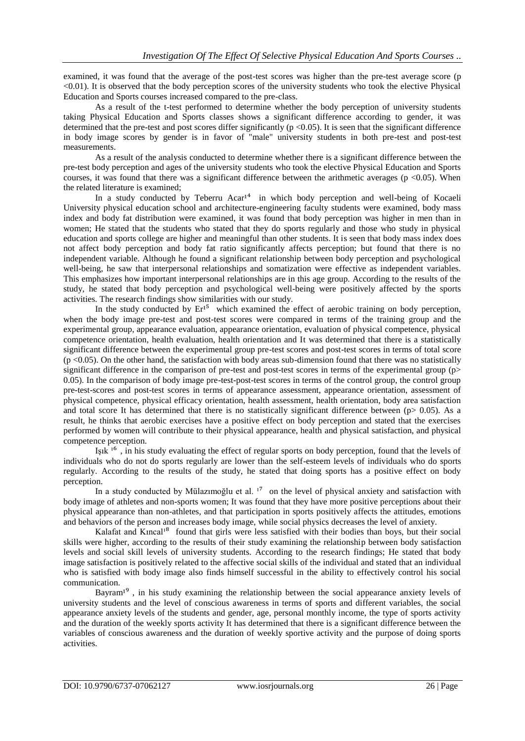examined, it was found that the average of the post-test scores was higher than the pre-test average score (p  $\leq 0.01$ ). It is observed that the body perception scores of the university students who took the elective Physical Education and Sports courses increased compared to the pre-class.

As a result of the t-test performed to determine whether the body perception of university students taking Physical Education and Sports classes shows a significant difference according to gender, it was determined that the pre-test and post scores differ significantly ( $p < 0.05$ ). It is seen that the significant difference in body image scores by gender is in favor of "male" university students in both pre-test and post-test measurements.

As a result of the analysis conducted to determine whether there is a significant difference between the pre-test body perception and ages of the university students who took the elective Physical Education and Sports courses, it was found that there was a significant difference between the arithmetic averages ( $p \le 0.05$ ). When the related literature is examined;

In a study conducted by Teberru  $Acar^{14}$  in which body perception and well-being of Kocaeli University physical education school and architecture-engineering faculty students were examined, body mass index and body fat distribution were examined, it was found that body perception was higher in men than in women; He stated that the students who stated that they do sports regularly and those who study in physical education and sports college are higher and meaningful than other students. It is seen that body mass index does not affect body perception and body fat ratio significantly affects perception; but found that there is no independent variable. Although he found a significant relationship between body perception and psychological well-being, he saw that interpersonal relationships and somatization were effective as independent variables. This emphasizes how important interpersonal relationships are in this age group. According to the results of the study, he stated that body perception and psychological well-being were positively affected by the sports activities. The research findings show similarities with our study.

In the study conducted by  $Er^{15}$  which examined the effect of aerobic training on body perception, when the body image pre-test and post-test scores were compared in terms of the training group and the experimental group, appearance evaluation, appearance orientation, evaluation of physical competence, physical competence orientation, health evaluation, health orientation and It was determined that there is a statistically significant difference between the experimental group pre-test scores and post-test scores in terms of total score  $(p < 0.05)$ . On the other hand, the satisfaction with body areas sub-dimension found that there was no statistically significant difference in the comparison of pre-test and post-test scores in terms of the experimental group (p> 0.05). In the comparison of body image pre-test-post-test scores in terms of the control group, the control group pre-test-scores and post-test scores in terms of appearance assessment, appearance orientation, assessment of physical competence, physical efficacy orientation, health assessment, health orientation, body area satisfaction and total score It has determined that there is no statistically significant difference between ( $p > 0.05$ ). As a result, he thinks that aerobic exercises have a positive effect on body perception and stated that the exercises performed by women will contribute to their physical appearance, health and physical satisfaction, and physical competence perception.

Işık <sup>16</sup>, in his study evaluating the effect of regular sports on body perception, found that the levels of individuals who do not do sports regularly are lower than the self-esteem levels of individuals who do sports regularly. According to the results of the study, he stated that doing sports has a positive effect on body perception.

In a study conducted by Mülazımoğlu et al.  $1<sup>7</sup>$  on the level of physical anxiety and satisfaction with body image of athletes and non-sports women; It was found that they have more positive perceptions about their physical appearance than non-athletes, and that participation in sports positively affects the attitudes, emotions and behaviors of the person and increases body image, while social physics decreases the level of anxiety.

Kalafat and Kıncal<sup>18</sup> found that girls were less satisfied with their bodies than boys, but their social skills were higher, according to the results of their study examining the relationship between body satisfaction levels and social skill levels of university students. According to the research findings; He stated that body image satisfaction is positively related to the affective social skills of the individual and stated that an individual who is satisfied with body image also finds himself successful in the ability to effectively control his social communication.

Bayram<sup>19</sup>, in his study examining the relationship between the social appearance anxiety levels of university students and the level of conscious awareness in terms of sports and different variables, the social appearance anxiety levels of the students and gender, age, personal monthly income, the type of sports activity and the duration of the weekly sports activity It has determined that there is a significant difference between the variables of conscious awareness and the duration of weekly sportive activity and the purpose of doing sports activities.